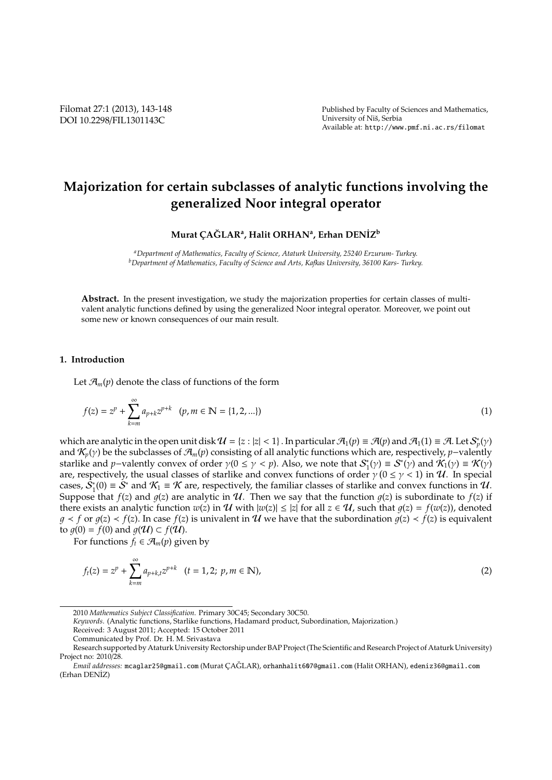# **Majorization for certain subclasses of analytic functions involving the generalized Noor integral operator**

## **Murat C¸ AGLAR ˘ <sup>a</sup> , Halit ORHAN<sup>a</sup> , Erhan DEN˙IZ<sup>b</sup>**

*<sup>a</sup>Department of Mathematics, Faculty of Science, Ataturk University, 25240 Erzurum- Turkey. <sup>b</sup>Department of Mathematics, Faculty of Science and Arts, Kafkas University, 36100 Kars- Turkey.*

**Abstract.** In the present investigation, we study the majorization properties for certain classes of multivalent analytic functions defined by using the generalized Noor integral operator. Moreover, we point out some new or known consequences of our main result.

### **1. Introduction**

Let  $\mathcal{A}_m(p)$  denote the class of functions of the form

$$
f(z) = z^{p} + \sum_{k=m}^{\infty} a_{p+k} z^{p+k} \quad (p, m \in \mathbb{N} = \{1, 2, ...\})
$$
 (1)

which are analytic in the open unit disk  $\mathcal{U} = \{z : |z| < 1\}$ . In particular  $\mathcal{A}_1(p) \equiv \mathcal{A}(p)$  and  $\mathcal{A}_1(1) \equiv \mathcal{A}$ . Let  $\mathcal{S}_p^*(\gamma)$ and  $\mathcal{K}_p(y)$  be the subclasses of  $\mathcal{A}_m(p)$  consisting of all analytic functions which are, respectively, *p*−valently starlike and *p*−valently convex of order  $\gamma(0 \le \gamma < p)$ . Also, we note that  $S_1^*(\gamma) \equiv S^*(\gamma)$  and  $\mathcal{K}_1(\gamma) \equiv \mathcal{K}(\gamma)$ are, respectively, the usual classes of starlike and convex functions of order  $\gamma$  ( $0 \le \gamma < 1$ ) in  $\mathcal{U}$ . In special cases,  $\tilde{S}_1^*(0) \equiv \tilde{S}^*$  and  $\mathcal{K}_1 \equiv \mathcal{K}$  are, respectively, the familiar classes of starlike and convex functions in  $\mathcal{U}$ . Suppose that  $f(z)$  and  $g(z)$  are analytic in  $U$ . Then we say that the function  $g(z)$  is subordinate to  $f(z)$  if there exists an analytic function  $w(z)$  in  $\mathcal U$  with  $|w(z)| \le |z|$  for all  $z \in \mathcal U$ , such that  $q(z) = f(w(z))$ , denoted *g* ≺ *f* or *g*(*z*) < *f*(*z*). In case *f*(*z*) is univalent in *U* we have that the subordination *q*(*z*) < *f*(*z*) is equivalent to  $q(0) = f(0)$  and  $q(\mathcal{U}) \subset f(\mathcal{U})$ .

For functions  $f_t \in \mathcal{A}_m(p)$  given by

$$
f_t(z) = z^p + \sum_{k=m}^{\infty} a_{p+k,t} z^{p+k} \quad (t = 1, 2; \ p, m \in \mathbb{N}),
$$
 (2)

<sup>2010</sup> *Mathematics Subject Classification*. Primary 30C45; Secondary 30C50.

*Keywords*. (Analytic functions, Starlike functions, Hadamard product, Subordination, Majorization.)

Received: 3 August 2011; Accepted: 15 October 2011

Communicated by Prof. Dr. H. M. Srivastava

Research supported by Ataturk University Rectorship under BAP Project (The Scientific and Research Project of Ataturk University) Project no: 2010/28.

*Email addresses:* mcaglar25@gmail.com (Murat C¸ AGLAR), ˘ orhanhalit607@gmail.com (Halit ORHAN), edeniz36@gmail.com (Erhan DENİZ)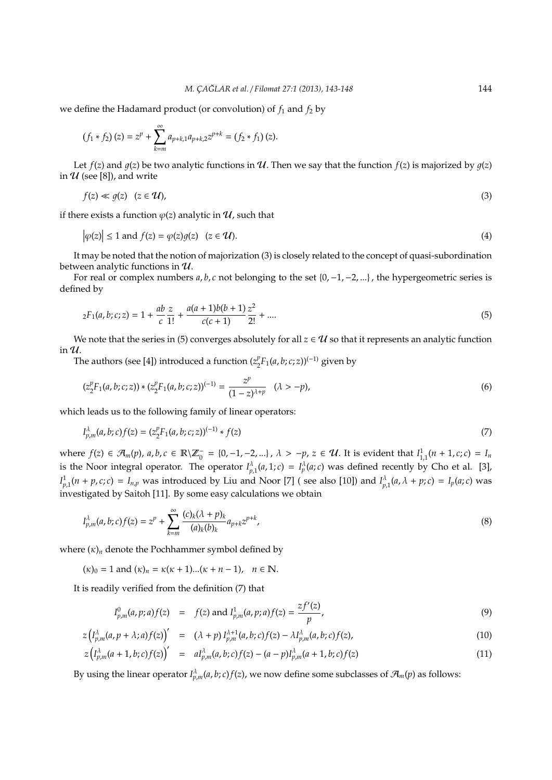we define the Hadamard product (or convolution) of  $f_1$  and  $f_2$  by

$$
(f_1 * f_2)(z) = zp + \sum_{k=m}^{\infty} a_{p+k,1} a_{p+k,2} z^{p+k} = (f_2 * f_1)(z).
$$

Let *f*(*z*) and *g*(*z*) be two analytic functions in *U*. Then we say that the function *f*(*z*) is majorized by *g*(*z*) in  $U$  (see [8]), and write

$$
f(z) \ll g(z) \quad (z \in \mathcal{U}),\tag{3}
$$

if there exists a function  $\varphi(z)$  analytic in  $\mathcal U$ , such that

$$
\left|\varphi(z)\right| \le 1 \text{ and } f(z) = \varphi(z)g(z) \quad (z \in \mathcal{U}).\tag{4}
$$

It may be noted that the notion of majorization (3) is closely related to the concept of quasi-subordination between analytic functions in  $\mathcal{U}$ .

For real or complex numbers *a*, *b*, *c* not belonging to the set {0,−1,−2, ...} , the hypergeometric series is defined by

$$
{}_{2}F_{1}(a,b;c;z) = 1 + \frac{ab}{c} \frac{z}{1!} + \frac{a(a+1)b(b+1)}{c(c+1)} \frac{z^{2}}{2!} + \dots
$$
\n(5)

We note that the series in (5) converges absolutely for all  $z \in U$  so that it represents an analytic function in  $\mathcal{U}$ .

The authors (see [4]) introduced a function ( $z_2^p$ 2 *F*1(*a*, *b*; *c*; *z*))(−1) given by

$$
(z_2^p F_1(a,b;c;z)) * (z_2^p F_1(a,b;c;z))^{(-1)} = \frac{z^p}{(1-z)^{\lambda+p}} \quad (\lambda > -p), \tag{6}
$$

which leads us to the following family of linear operators:

$$
I_{p,m}^{\lambda}(a,b;c)f(z) = (z_2^p F_1(a,b;c;z))^{(-1)} * f(z)
$$
\n(7)

where  $f(z) \in \mathcal{A}_m(p)$ ,  $a, b, c \in \mathbb{R} \setminus \mathbb{Z}_0^- = \{0, -1, -2, ...\}$ ,  $\lambda > -p$ ,  $z \in \mathcal{U}$ . It is evident that  $I^1_{1,1}(n + 1, c; c) = I_m$ is the Noor integral operator. The operator  $I_{p,1}^{\lambda}(a,1;c) = I_p^{\lambda}(a;c)$  was defined recently by Cho et al. [3],  $I_{p,1}^1(n+p,c;c) = I_{n,p}$  was introduced by Liu and Noor [7] (see also [10]) and  $I_{p,1}^{\lambda}(a,\lambda+p;c) = I_p(a;c)$  was investigated by Saitoh [11]. By some easy calculations we obtain

$$
I_{p,m}^{\lambda}(a,b;c)f(z) = z^{p} + \sum_{k=m}^{\infty} \frac{(c)_{k}(\lambda + p)_{k}}{(a)_{k}(b)_{k}} a_{p+k} z^{p+k}, \qquad (8)
$$

where  $(\kappa)$ <sub>n</sub> denote the Pochhammer symbol defined by

 $(\kappa)_0 = 1$  and  $(\kappa)_n = \kappa(\kappa + 1)...(\kappa + n - 1)$ ,  $n \in \mathbb{N}$ .

It is readily verified from the definition (7) that

$$
I_{p,m}^0(a,p;a)f(z) = f(z) \text{ and } I_{p,m}^1(a,p;a)f(z) = \frac{zf'(z)}{p},
$$
\n(9)

*z f* ′

$$
z\left(I_{p,m}^{\lambda}(a,p+\lambda;a)f(z)\right)' = (\lambda+p)I_{p,m}^{\lambda+1}(a,b;c)f(z) - \lambda I_{p,m}^{\lambda}(a,b;c)f(z), \qquad (10)
$$

$$
z(I_{p,m}^{\lambda}(a+1,b;c)f(z))' = aI_{p,m}^{\lambda}(a,b;c)f(z) - (a-p)I_{p,m}^{\lambda}(a+1,b;c)f(z)
$$
\n(11)

By using the linear operator  $I_{p,m}^{\lambda}(a,b;c)f(z)$ , we now define some subclasses of  $\mathcal{A}_m(p)$  as follows: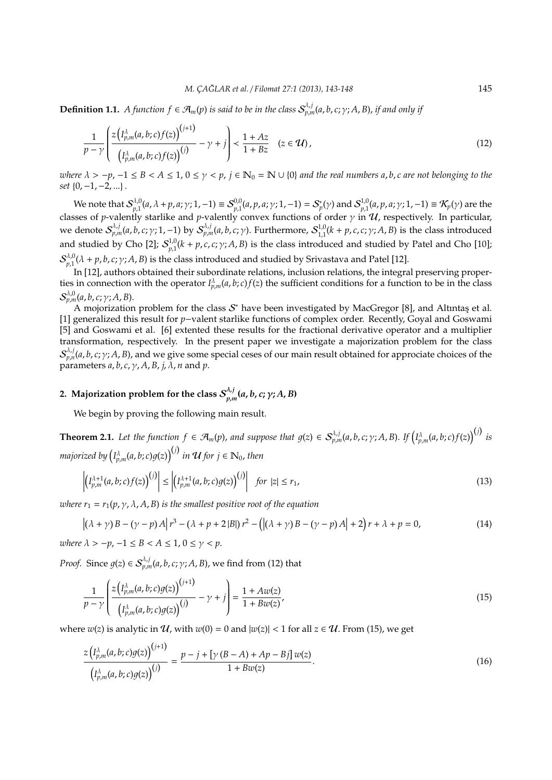**Definition 1.1.** A function  $f \in \mathcal{A}_m(p)$  is said to be in the class  $\mathcal{S}_{p,m}^{\lambda,j}(a,b,c;\gamma;A,B)$ , if and only if

$$
\frac{1}{p-\gamma} \left( \frac{z\left(I_{p,m}^{\lambda}(a,b;c)f(z)\right)^{(j+1)}}{\left(I_{p,m}^{\lambda}(a,b;c)f(z)\right)^{(j)}} - \gamma + j \right) < \frac{1+Az}{1+Bz} \quad (z \in \mathcal{U}), \tag{12}
$$

*where*  $\lambda > -p$ , −1 ≤ *B* <  $A$  ≤ 1, 0 ≤  $\gamma$  <  $p$ ,  $j$  ∈  $\mathbb{N}_0$  =  $\mathbb{N}$  ∪ {0} *and the real numbers a, b, c are not belonging to the set* {0,−1,−2, ...} .

We note that  $\mathcal{S}_{n1}^{\lambda,0}$  $p_{p,1}^{\lambda,0}(a,\lambda+p,a;\gamma;1,-1)\equiv \mathcal{S}_{p,1}^{0,0}(a,p,a;\gamma;1,-1)=\mathcal{S}_p^*(\gamma)$  and  $\mathcal{S}_{p,1}^{1,0}$  $\mathcal{F}_{p,1}^{(1,0)}(a,p,a;\gamma;1,-1) \equiv \mathcal{K}_p(\gamma)$  are the classes of *p*-valently starlike and *p*-valently convex functions of order γ in U, respectively. In particular, we denote S<sup>λ,j</sup><sub>p,m</sub>(a, b, c; γ; 1, −1) by S<sup>λ,j</sup><sub>n,m</sub>(a, b, c; γ). Furthermore, S<sup>1,0</sup><sub>1.1</sub>  $\int_{1,1}^{1,0}(k+p,c,c;\gamma;A,B)$  is the class introduced and studied by Cho [2];  $\mathcal{S}_{n1}^{1,0}$  $p_{p,1}^{1,0}(k+p,c,c;\gamma;A,B)$  is the class introduced and studied by Patel and Cho [10];  $\mathcal{S}^{\lambda,0}_{n,1}$  $P_{p,1}^{A,0}(\lambda + p, b, c; \gamma; A, B)$  is the class introduced and studied by Srivastava and Patel [12].

In [12], authors obtained their subordinate relations, inclusion relations, the integral preserving properties in connection with the operator  $I_{p,m}^{\lambda}(a,b;c)f(z)$  the sufficient conditions for a function to be in the class S λ,0 *<sup>p</sup>*,*m*(*a*, *b*, *c*; γ; *A*, *B*).

A mojorization problem for the class  $\mathcal{S}^*$  have been investigated by MacGregor [8], and Altıntaş et al. [1] generalized this result for *p*−valent starlike functions of complex order. Recently, Goyal and Goswami [5] and Goswami et al. [6] extented these results for the fractional derivative operator and a multiplier transformation, respectively. In the present paper we investigate a majorization problem for the class  $\mathcal{S}_{p,n}^{\lambda,j}(a,b,c;\gamma;A,B)$ , and we give some special ceses of our main result obtained for approciate choices of the parameters *a*, *b*, *c*, γ, *A*, *B*, *j*, λ, *n* and *p*.

#### 2. Majorization problem for the class  $\mathcal{S}^{\lambda, j}_{p, n}$ *p*,*m* **(***a*, *b*, *c***;** γ**;** *A*, *B***)**

We begin by proving the following main result.

**Theorem 2.1.** Let the function  $f \in \mathcal{A}_m(p)$ , and suppose that  $g(z) \in \mathcal{S}_{p,m}^{\lambda,j}(a,b,c;\gamma;A,B)$ . If  $\left( I_{p,m}^{\lambda}(a,b;c)f(z)\right)^{(j)}$  is majorized by  $\left(I_{p,m}^{\lambda}(a,b;c)g(z)\right)^{(j)}$  in  ${\cal U}$  for  $j\in \mathbb{N}_0$ , then

$$
\left| \left( I_{p,m}^{\lambda+1}(a,b;c)f(z) \right)^{(j)} \right| \leq \left| \left( I_{p,m}^{\lambda+1}(a,b;c)g(z) \right)^{(j)} \right| \quad \text{for } |z| \leq r_1,\tag{13}
$$

*where*  $r_1 = r_1(p, \gamma, \lambda, A, B)$  *is the smallest positive root of the equation* 

$$
|(\lambda + \gamma)B - (\gamma - p)A|r^3 - (\lambda + p + 2|B|)r^2 - (|(\lambda + \gamma)B - (\gamma - p)A| + 2)r + \lambda + p = 0,
$$
\n(14)

*where*  $\lambda > -p$ ,  $-1 \leq B < A \leq 1$ ,  $0 \leq \gamma < p$ .

*Proof.* Since  $g(z) \in S_{p,m}^{\lambda,j}(a,b,c;\gamma;A,B)$ , we find from (12) that

$$
\frac{1}{p-\gamma} \left( \frac{z\left(I_{p,m}^{\lambda}(a,b;c)g(z)\right)^{(j+1)}}{\left(I_{p,m}^{\lambda}(a,b;c)g(z)\right)^{(j)}} - \gamma + j \right) = \frac{1+Aw(z)}{1+Bw(z)},\tag{15}
$$

where  $w(z)$  is analytic in  $U$ , with  $w(0) = 0$  and  $|w(z)| < 1$  for all  $z \in U$ . From (15), we get

$$
\frac{z\left(I_{p,m}^{\lambda}(a,b;c)g(z)\right)^{(j+1)}}{\left(I_{p,m}^{\lambda}(a,b;c)g(z)\right)^{(j)}} = \frac{p-j+\left[\gamma\left(B-A\right)+Ap-Bj\right]w(z)}{1+Bw(z)}.\tag{16}
$$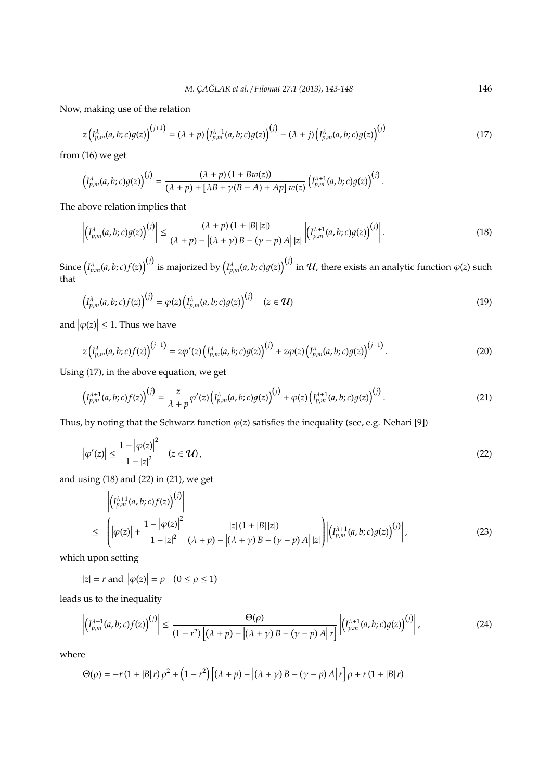Now, making use of the relation

$$
z(I_{p,m}^{\lambda}(a,b;c)g(z))^{(j+1)} = (\lambda + p)\left(I_{p,m}^{\lambda+1}(a,b;c)g(z)\right)^{(j)} - (\lambda + j)\left(I_{p,m}^{\lambda}(a,b;c)g(z)\right)^{(j)}
$$
(17)

from (16) we get

$$
\left(I_{p,m}^{\lambda}(a,b;c)g(z)\right)^{(j)}=\frac{(\lambda+p)\left(1+Bw(z)\right)}{(\lambda+p)+[\lambda B+\gamma (B-A)+Ap]w(z)}\left(I_{p,m}^{\lambda+1}(a,b;c)g(z)\right)^{(j)}.
$$

The above relation implies that

$$
\left| \left( I_{p,m}^{\lambda}(a,b;c)g(z) \right)^{(j)} \right| \leq \frac{(\lambda+p)(1+|B||z|)}{(\lambda+p)-|(\lambda+\gamma)B-(\gamma-p)A||z|} \left| \left( I_{p,m}^{\lambda+1}(a,b;c)g(z) \right)^{(j)} \right|.
$$
\n(18)

Since  $\left(I_{p,m}^\lambda(a,b;c)f(z)\right)^{(j)}$  is majorized by  $\left(I_{p,m}^\lambda(a,b;c)g(z)\right)^{(j)}$  in  $u$ , there exists an analytic function  $\varphi(z)$  such that )(*j*)

$$
\left(I_{p,m}^{\lambda}(a,b;c)f(z)\right)^{(j)} = \varphi(z)\left(I_{p,m}^{\lambda}(a,b;c)g(z)\right)^{(j)} \quad (z \in \mathcal{U})
$$
\n(19)

and  $|\varphi(z)| \leq 1$ . Thus we have

$$
z(I_{p,m}^{\lambda}(a,b;c)f(z))^{(j+1)} = z\varphi'(z)\left(I_{p,m}^{\lambda}(a,b;c)g(z)\right)^{(j)} + z\varphi(z)\left(I_{p,m}^{\lambda}(a,b;c)g(z)\right)^{(j+1)}.
$$
\n(20)

Using (17), in the above equation, we get

$$
\left(I_{p,m}^{\lambda+1}(a,b;c)f(z)\right)^{(j)} = \frac{z}{\lambda+p}\varphi'(z)\left(I_{p,m}^{\lambda}(a,b;c)g(z)\right)^{(j)} + \varphi(z)\left(I_{p,m}^{\lambda+1}(a,b;c)g(z)\right)^{(j)}.
$$
\n(21)

Thus, by noting that the Schwarz function  $\varphi(z)$  satisfies the inequality (see, e.g. Nehari [9])

$$
\left|\varphi'(z)\right| \le \frac{1 - \left|\varphi(z)\right|^2}{1 - |z|^2} \quad (z \in \mathcal{U}), \tag{22}
$$

and using (18) and (22) in (21), we get

$$
\left| \left( I_{p,m}^{\lambda+1}(a,b;c) f(z) \right)^{(j)} \right|
$$
\n
$$
\leq \left( \left| \varphi(z) \right| + \frac{1 - \left| \varphi(z) \right|^2}{1 - |z|^2} \frac{|z| (1 + |B||z|)}{(\lambda + p) - |(\lambda + \gamma)B - (\gamma - p)A||z|} \right) \left| \left( I_{p,m}^{\lambda+1}(a,b;c) g(z) \right)^{(j)} \right|,
$$
\n(23)

which upon setting

 $|z| = r$  and  $|\varphi(z)| = \rho \quad (0 \le \rho \le 1)$ 

leads us to the inequality

$$
\left| \left( I_{p,m}^{\lambda+1}(a,b;c)f(z) \right)^{(j)} \right| \leq \frac{\Theta(\rho)}{(1-r^2)\left[ (\lambda+p) - \left| (\lambda+\gamma)B-(\gamma-p)A \right| r \right]} \left| \left( I_{p,m}^{\lambda+1}(a,b;c)g(z) \right)^{(j)} \right|,
$$
\n(24)

where

$$
\Theta(\rho) = -r(1+|B|r)\rho^2 + (1-r^2)\left[\left(\lambda+p\right)-\left|\left(\lambda+\gamma\right)B-\left(\gamma-p\right)A\right|r\right]\rho + r(1+|B|r)
$$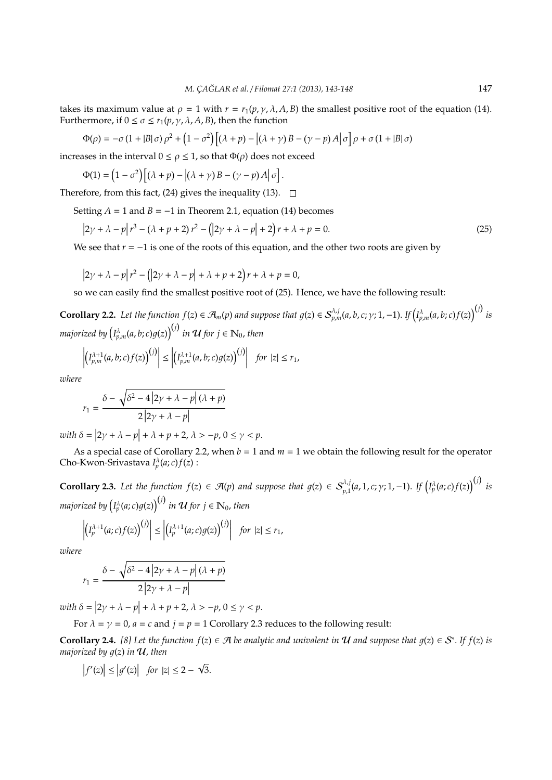takes its maximum value at  $\rho = 1$  with  $r = r_1(p, \gamma, \lambda, A, B)$  the smallest positive root of the equation (14). Furthermore, if  $0 \le \sigma \le r_1(p, \gamma, \lambda, A, B)$ , then the function

$$
\Phi(\rho) = -\sigma (1 + |B|\sigma) \rho^2 + (1 - \sigma^2) \left[ (\lambda + p) - |(\lambda + \gamma)B - (\gamma - p)A|\sigma \right] \rho + \sigma (1 + |B|\sigma)
$$

increases in the interval  $0 \le \rho \le 1$ , so that  $\Phi(\rho)$  does not exceed

$$
\Phi(1) = \left(1 - \sigma^2\right) \left[ \left(\lambda + p\right) - \left| \left(\lambda + \gamma\right)B - \left(\gamma - p\right)A \right| \sigma \right].
$$

Therefore, from this fact, (24) gives the inequality (13).  $\Box$ 

Setting  $A = 1$  and  $B = -1$  in Theorem 2.1, equation (14) becomes

$$
\left|2\gamma + \lambda - p\right| r^3 - \left(\lambda + p + 2\right) r^2 - \left(\left|2\gamma + \lambda - p\right| + 2\right) r + \lambda + p = 0. \tag{25}
$$

We see that  $r = -1$  is one of the roots of this equation, and the other two roots are given by

$$
\left|2\gamma + \lambda - p\right| r^2 - \left(\left|2\gamma + \lambda - p\right| + \lambda + p + 2\right)r + \lambda + p = 0,
$$

so we can easily find the smallest positive root of (25). Hence, we have the following result:

**Corollary 2.2.** Let the function  $f(z) \in \mathcal{A}_m(p)$  and suppose that  $g(z) \in \mathcal{S}_{p,m}^{\lambda,j}(a,b,c;\gamma;1,-1)$ . If  $\left( I_{p,m}^{\lambda}(a,b;c)f(z) \right)^{(j)}$  is majorized by  $\left(I_{p,m}^{\lambda}(a,b;c)g(z)\right)^{(j)}$  in  ${\cal U}$  for  $j\in \mathbb{N}_0$ , then

$$
\left|\left(I_{p,m}^{\lambda+1}(a,b;c)f(z)\right)^{(j)}\right|\leq \left|\left(I_{p,m}^{\lambda+1}(a,b;c)g(z)\right)^{(j)}\right|\ \ for\ \ |z|\leq r_1,
$$

*where*

$$
r_1 = \frac{\delta - \sqrt{\delta^2 - 4\left|2\gamma + \lambda - p\right|(\lambda + p)}}{2\left|2\gamma + \lambda - p\right|}
$$

 $\text{with } \delta = |2\gamma + \lambda - p| + \lambda + p + 2, \lambda > -p, 0 \le \gamma < p.$ 

As a special case of Corollary 2.2, when  $b = 1$  and  $m = 1$  we obtain the following result for the operator Cho-Kwon-Srivastava  $I_p^{\lambda}(a;c)f(z)$ :

**Corollary 2.3.** Let the function  $f(z) \in \mathcal{A}(p)$  and suppose that  $g(z) \in S_{p,1}^{\lambda,j}(a,1,c;\gamma;1,-1)$ . If  $(I_p^{\lambda}(a;c)f(z))^{(j)}$  is majorized by  $\left(I_p^\lambda(a;c)g(z)\right)^{(j)}$  in  $\mathcal U$  for  $j\in\mathbb N_0$ , then

$$
\left|\left(I_p^{\lambda+1}(a;c)f(z)\right)^{(j)}\right| \leq \left|\left(I_p^{\lambda+1}(a;c)g(z)\right)^{(j)}\right| \text{ for } |z| \leq r_1,
$$

*where*

$$
r_1 = \frac{\delta - \sqrt{\delta^2 - 4\left|2\gamma + \lambda - p\right|(\lambda + p)}}{2\left|2\gamma + \lambda - p\right|}
$$

 $\text{with } \delta = |2\gamma + \lambda - p| + \lambda + p + 2, \lambda > -p, 0 \le \gamma < p.$ 

For  $\lambda = \gamma = 0$ ,  $a = c$  and  $j = p = 1$  Corollary 2.3 reduces to the following result:

**Corollary 2.4.** [8] Let the function  $f(z) \in \mathcal{A}$  be analytic and univalent in  $\mathcal{U}$  and suppose that  $g(z) \in \mathcal{S}^*$ . If  $f(z)$  is *majorized by*  $g(z)$  *in*  $U$ , *then* 

$$
\left|f'(z)\right| \le \left|g'(z)\right| \quad \text{for } |z| \le 2 - \sqrt{3}.
$$